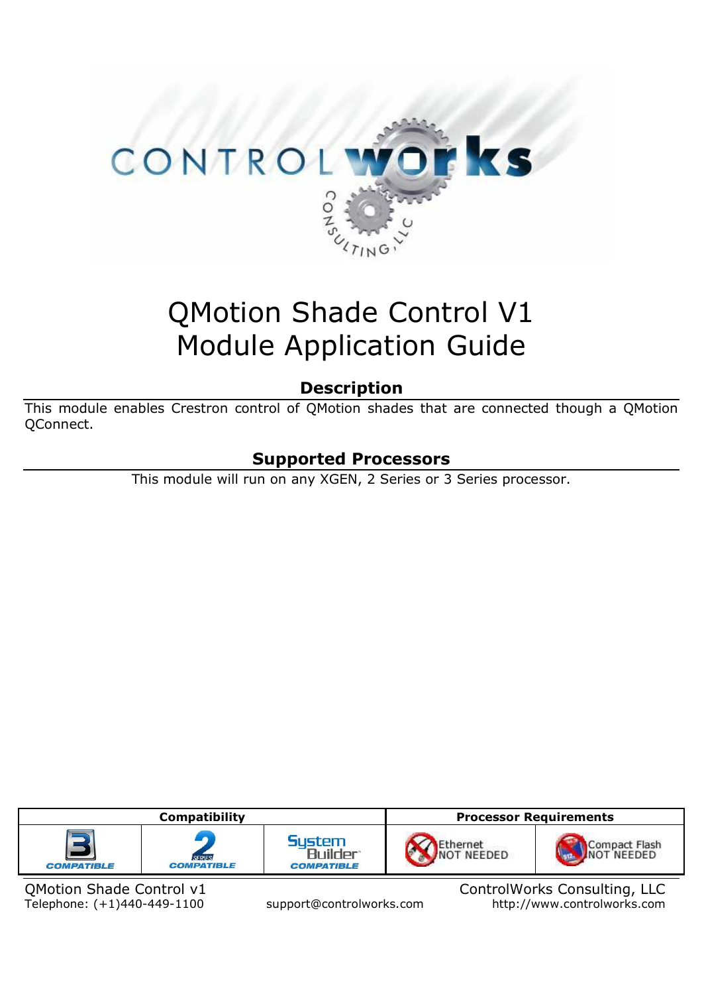

# QMotion Shade Control V1 Module Application Guide

### **Description**

This module enables Crestron control of QMotion shades that are connected though a QMotion QConnect.

# **Supported Processors**

This module will run on any XGEN, 2 Series or 3 Series processor.



Telephone: (+1)440-449-1100 support@controlworks.com

QMotion Shade Control v1<br>Telephone: (+1)440-449-1100 support@controlworks.com http://www.controlworks.com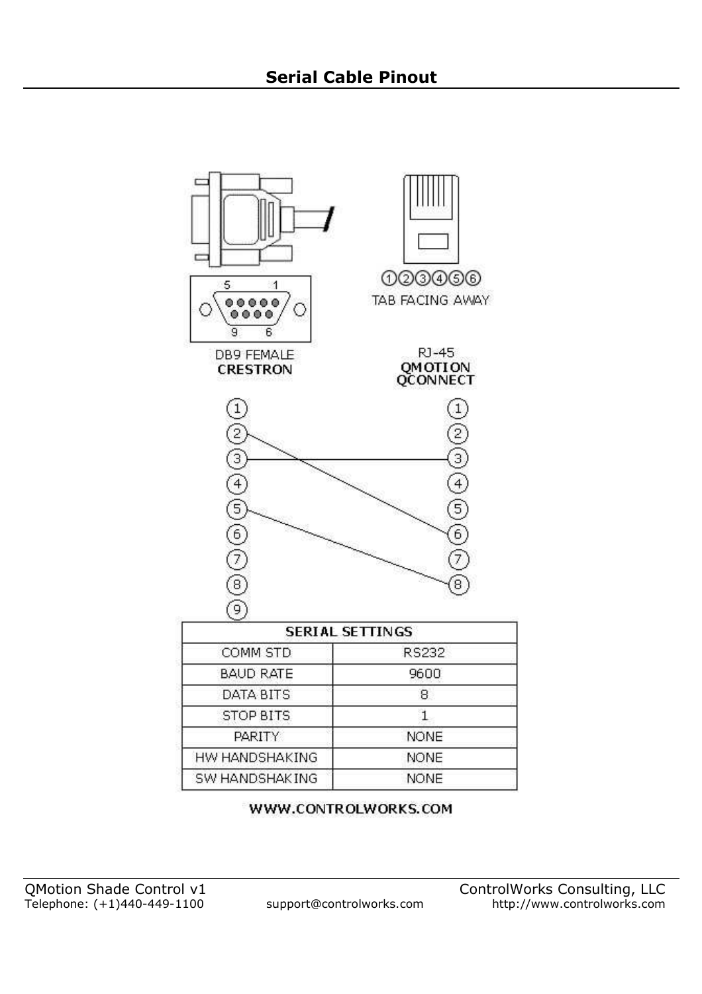

WWW.CONTROLWORKS.COM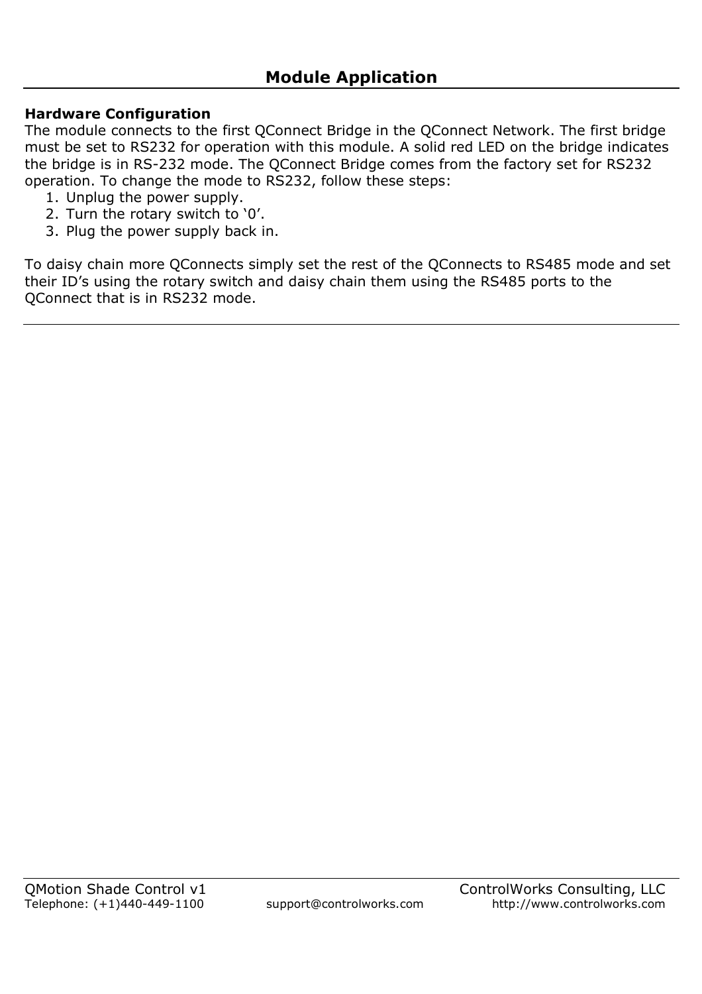### **Hardware Configuration**

The module connects to the first QConnect Bridge in the QConnect Network. The first bridge must be set to RS232 for operation with this module. A solid red LED on the bridge indicates the bridge is in RS-232 mode. The QConnect Bridge comes from the factory set for RS232 operation. To change the mode to RS232, follow these steps:

- 1. Unplug the power supply.
- 2. Turn the rotary switch to '0'.
- 3. Plug the power supply back in.

To daisy chain more QConnects simply set the rest of the QConnects to RS485 mode and set their ID's using the rotary switch and daisy chain them using the RS485 ports to the QConnect that is in RS232 mode.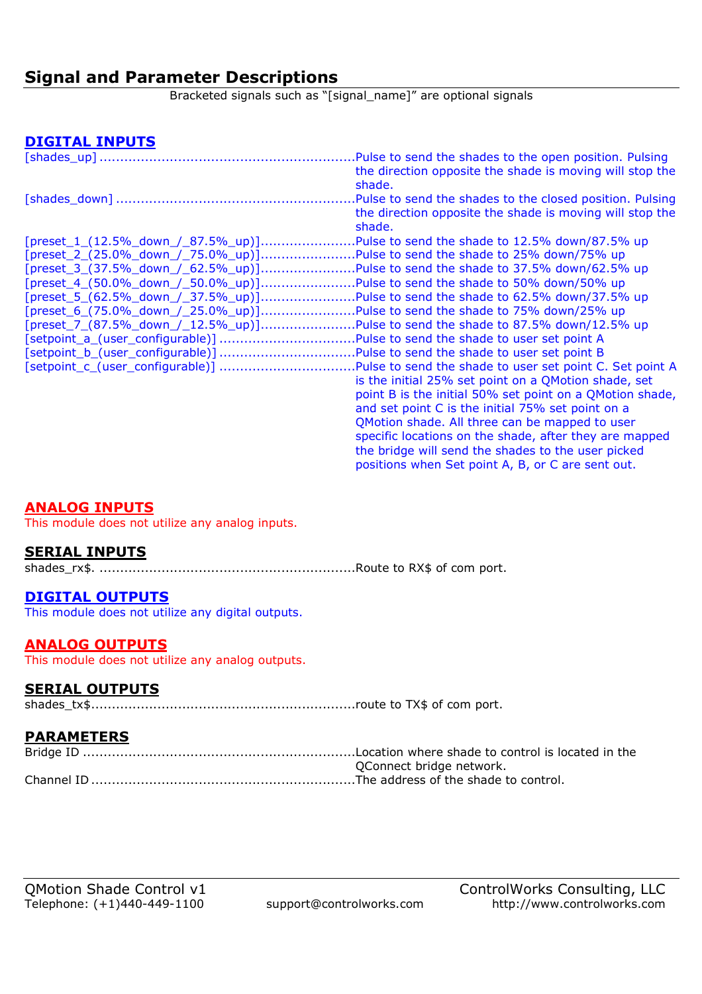### **Signal and Parameter Descriptions**

Bracketed signals such as "[signal\_name]" are optional signals

### **DIGITAL INPUTS**

|                                    | Pulse to send the shades to the open position. Pulsing   |
|------------------------------------|----------------------------------------------------------|
|                                    | the direction opposite the shade is moving will stop the |
|                                    | shade.                                                   |
|                                    | Pulse to send the shades to the closed position. Pulsing |
|                                    | the direction opposite the shade is moving will stop the |
|                                    | shade.                                                   |
|                                    | Pulse to send the shade to 12.5% down/87.5% up           |
|                                    | Pulse to send the shade to 25% down/75% up               |
|                                    | Pulse to send the shade to 37.5% down/62.5% up           |
|                                    | .Pulse to send the shade to 50% down/50% up              |
| [preset_5_(62.5%_down_/_37.5%_up)] | Pulse to send the shade to 62.5% down/37.5% up.          |
| [preset_6_(75.0%_down_/_25.0%_up)] | Pulse to send the shade to 75% down/25% up               |
| [preset_7_(87.5%_down_/_12.5%_up)] | Pulse to send the shade to 87.5% down/12.5% up.          |
| [setpoint_a_(user_configurable)]   | Pulse to send the shade to user set point A              |
| [setpoint_b_(user_configurable)]   | Pulse to send the shade to user set point B.             |
|                                    | Pulse to send the shade to user set point C. Set point A |
|                                    | is the initial 25% set point on a QMotion shade, set     |
|                                    | point B is the initial 50% set point on a QMotion shade, |
|                                    | and set point C is the initial 75% set point on a        |
|                                    | QMotion shade. All three can be mapped to user           |
|                                    | specific locations on the shade, after they are mapped   |
|                                    | the bridge will send the shades to the user picked       |
|                                    | positions when Set point A, B, or C are sent out.        |

### **ANALOG INPUTS**

This module does not utilize any analog inputs.

### **SERIAL INPUTS**

shades\_rx\$. ..............................................................Route to RX\$ of com port.

### **DIGITAL OUTPUTS**

This module does not utilize any digital outputs.

### **ANALOG OUTPUTS**

This module does not utilize any analog outputs.

### **SERIAL OUTPUTS**

shades\_tx\$ ................................................................route to TX\$ of com port.

### **PARAMETERS**

| QConnect bridge network. |
|--------------------------|
|                          |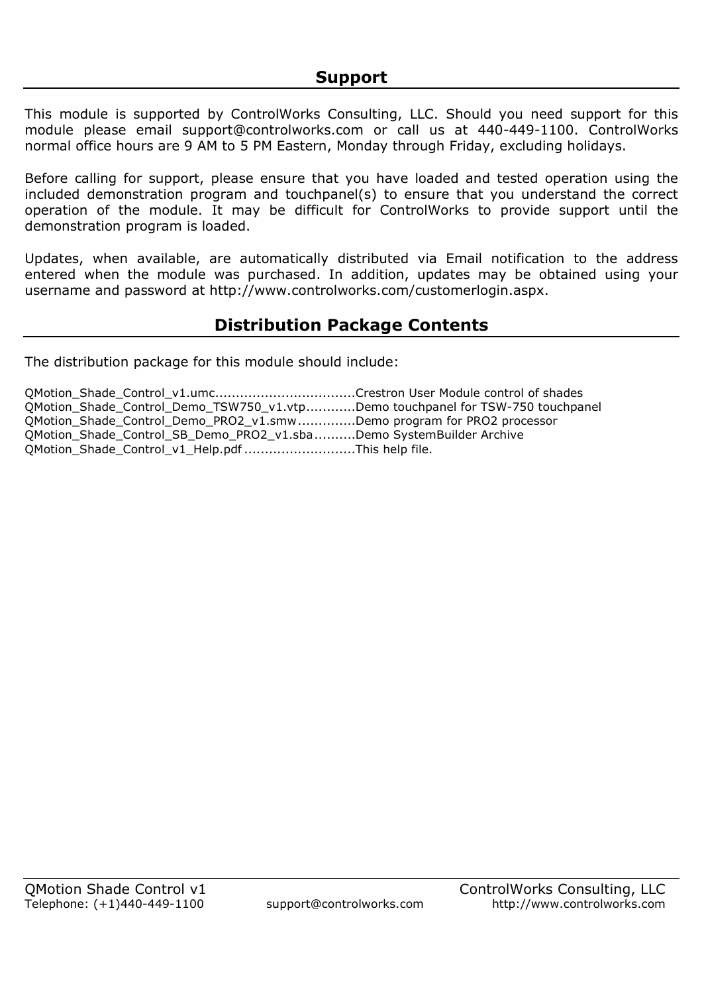This module is supported by ControlWorks Consulting, LLC. Should you need support for this module please email support@controlworks.com or call us at 440-449-1100. ControlWorks normal office hours are 9 AM to 5 PM Eastern, Monday through Friday, excluding holidays.

Before calling for support, please ensure that you have loaded and tested operation using the included demonstration program and touchpanel(s) to ensure that you understand the correct operation of the module. It may be difficult for ControlWorks to provide support until the demonstration program is loaded.

Updates, when available, are automatically distributed via Email notification to the address entered when the module was purchased. In addition, updates may be obtained using your username and password at http://www.controlworks.com/customerlogin.aspx.

# **Distribution Package Contents**

The distribution package for this module should include:

|                                                   | QMotion Shade Control Demo TSW750 v1.vtpDemo touchpanel for TSW-750 touchpanel |
|---------------------------------------------------|--------------------------------------------------------------------------------|
|                                                   | QMotion_Shade_Control_Demo_PRO2_v1.smwDemo program for PRO2 processor          |
|                                                   | QMotion_Shade_Control_SB_Demo_PRO2_v1.sbaDemo SystemBuilder Archive            |
| QMotion_Shade_Control_v1_Help.pdf This help file. |                                                                                |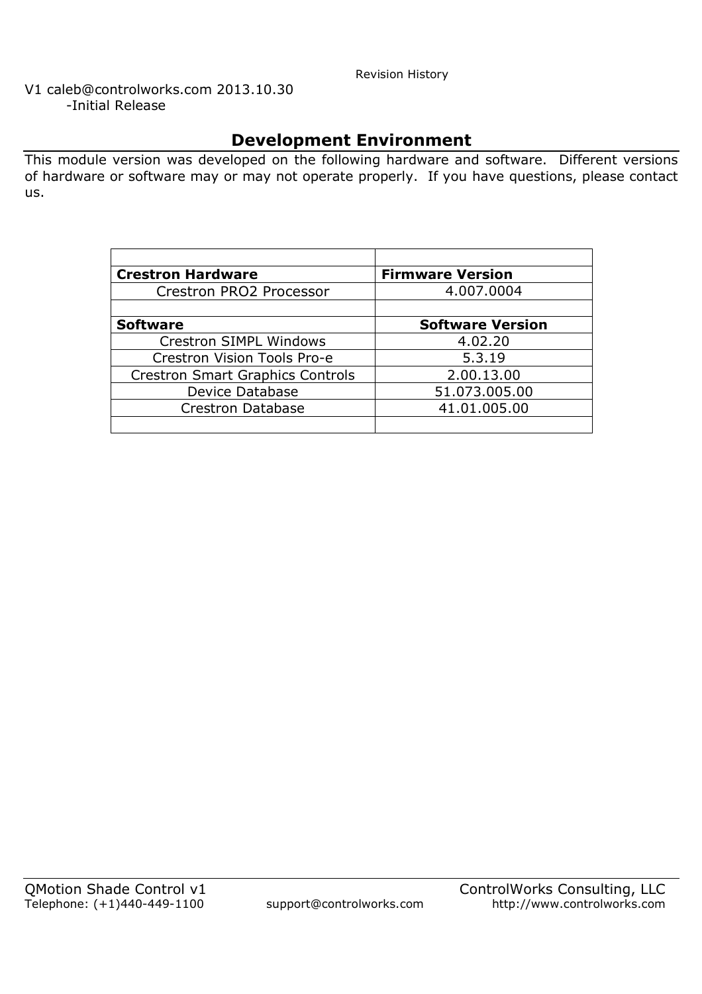Revision History

V1 caleb@controlworks.com 2013.10.30 -Initial Release

# **Development Environment**

This module version was developed on the following hardware and software. Different versions of hardware or software may or may not operate properly. If you have questions, please contact us.

| <b>Crestron Hardware</b>                | <b>Firmware Version</b> |
|-----------------------------------------|-------------------------|
| Crestron PRO2 Processor                 | 4.007.0004              |
|                                         |                         |
| <b>Software</b>                         | <b>Software Version</b> |
| Crestron SIMPL Windows                  | 4.02.20                 |
| Crestron Vision Tools Pro-e             | 5.3.19                  |
| <b>Crestron Smart Graphics Controls</b> | 2.00.13.00              |
| Device Database                         | 51.073.005.00           |
| <b>Crestron Database</b>                | 41.01.005.00            |
|                                         |                         |